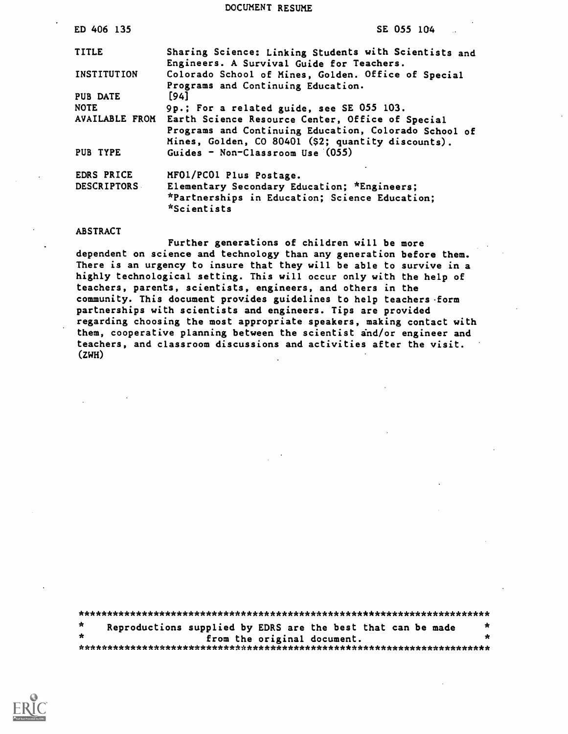#### DOCUMENT RESUME

| ED 406 135         | SE 055 104                                                    |
|--------------------|---------------------------------------------------------------|
| <b>TITLE</b>       | Sharing Science: Linking Students with Scientists and         |
|                    | Engineers. A Survival Guide for Teachers.                     |
| INSTITUTION        | Colorado School of Mines, Golden. Office of Special           |
|                    | Programs and Continuing Education.                            |
| <b>PUB DATE</b>    | [94]                                                          |
| <b>NOTE</b>        | 9p.; For a related guide, see SE 055 103.                     |
| AVAILABLE FROM     | Earth Science Resource Center, Office of Special              |
|                    | Programs and Continuing Education, Colorado School of         |
|                    | Mines, Golden, CO 80401 (\$2; quantity discounts).            |
| PUB TYPE           | Guides - Non-Classroom Use (055)                              |
| EDRS PRICE         | MF01/PC01 Plus Postage.                                       |
| <b>DESCRIPTORS</b> | Elementary Secondary Education; *Engineers;                   |
|                    | *Partnerships in Education; Science Education;<br>*Scientists |
|                    |                                                               |

#### ABSTRACT

Further generations of children will be more dependent on science and technology than any generation before them. There is an urgency to insure that they will be able to survive in a highly technological setting. This will occur only with the help of teachers, parents, scientists, engineers, and others in the community. This document provides guidelines to help teachers form partnerships with scientists and engineers. Tips are provided regarding choosing the most appropriate speakers, making contact with them, cooperative planning between the scientist and /or engineer and teachers, and classroom discussions and activities after the visit. (ZWH)

| $\star$ | Reproductions supplied by EDRS are the best that can be made |  |  |                             |  |  | * |
|---------|--------------------------------------------------------------|--|--|-----------------------------|--|--|---|
|         |                                                              |  |  | from the original document. |  |  | * |
|         |                                                              |  |  |                             |  |  |   |

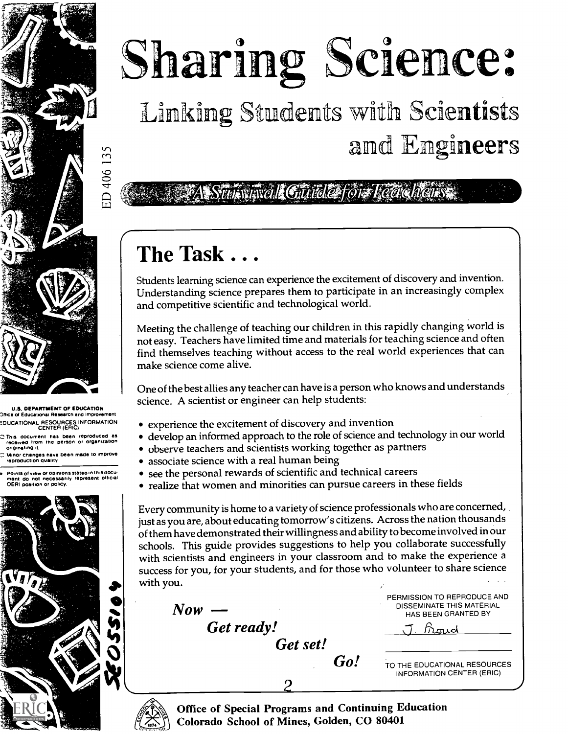# Linking Students with Scientists Sharing Science:

and Engineers

*Excel Guide for Reach* 

# The Task . . .

Students learning science can experience the excitement of discovery and invention. Understanding science prepares them to participate in an increasingly complex and competitive scientific and technological world.

Meeting the challenge of teaching our children in this rapidly changing world is not easy. Teachers have limited time and materials for teaching science and often find themselves teaching without access to the real world experiences that can make science come alive.

One of the best allies any teacher can have is a person who knows and understands science. A scientist or engineer can help students:

- experience the excitement of discovery and invention
- develop an informed approach to the role of science and technology in our world
- observe teachers and scientists working together as partners
- associate science with a real human being
- see the personal rewards of scientific and technical careers
- realize that women and minorities can pursue careers in these fields

Every community is home to a variety of science professionals who are concerned, just as you are, about educating tomorrow's citizens. Across the nation thousands of them have demonstrated their willingness and ability to becomeinvolved in our schools. This guide provides suggestions to help you collaborate successfully with scientists and engineers in your classroom and to make the experience a success for you, for your students, and for those who volunteer to share science with you.

Now Get ready! Get set! Go!



troud \_\_\_

TO THE EDUCATIONAL RESOURCES INFORMATION CENTER (ERIC)



Office of Special Programs and Continuing Education Colorado School of Mines, Golden, CO 80401

2

U.S. DEPARTMENT OF EDUCATION Office ot Educationai Research and Improvement EDUCATIONAL RESOURCES INFORMATION CENTER (ERIC)

ED 406 135

This document has been reproduced as received tram the person or organization originating it

Minor changes have been made to improve reprOduction Quality

a Points of view Or opinions statea in this clocu went do not necessarily represent official OERI position or policy.

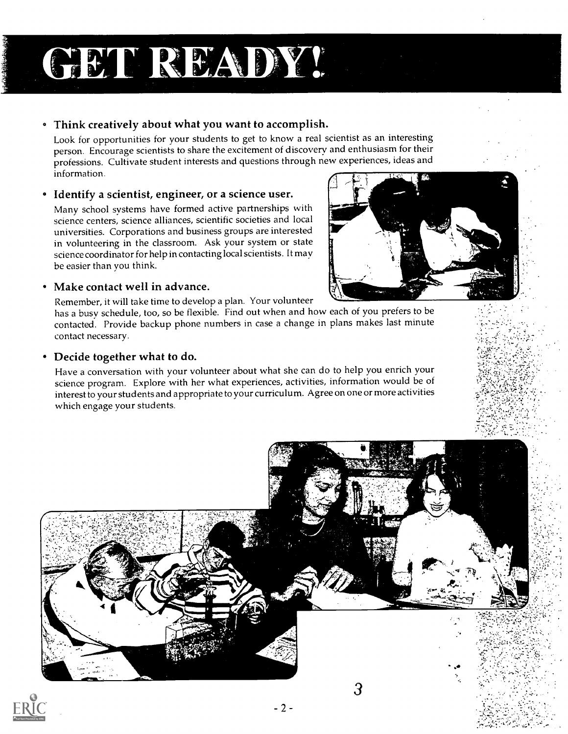# GET READY!

### Think creatively about what you want to accomplish.

Look for opportunities for your students to get to know a real scientist as an interesting person. Encourage scientists to share the excitement of discovery and enthusiasm for their professions. Cultivate student interests and questions through new experiences, ideas and information.

### • Identify a scientist, engineer, or a science user.

Many school systems have formed active partnerships with science centers, science alliances, scientific societies and local universities. Corporations and business groups are interested in volunteering in the classroom. Ask your system or state science coordinator for help in contacting local scientists. It may be easier than you think.

### Make contact well in advance.

Remember, it will take time to develop a plan. Your volunteer

has a busy schedule, too, so be flexible. Find out when and how each of you prefers to be contacted. Provide backup phone numbers in case a change in plans makes last minute contact necessary.

### Decide together what to do.

Have a conversation with your volunteer about what she can do to help you enrich your science program. Explore with her what experiences, activities, information would be of interest to your students and appropriate to your curriculum. Agree on one or more activities which engage your students.





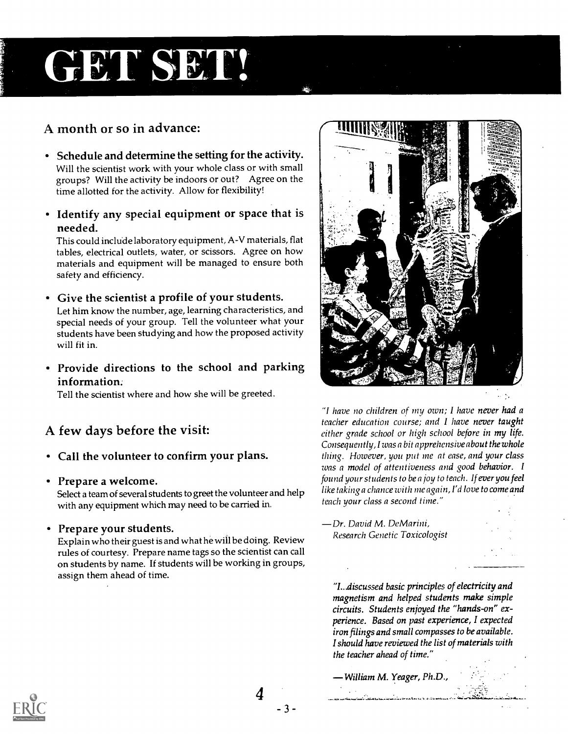# GET SET!

### A month or so in advance:

- Schedule and determine the setting for the activity. Will the scientist work with your whole class or with small groups? Will the activity be indoors or out? Agree on the time allotted for the activity. Allow for flexibility!
- Identify any special equipment or space that is needed.

This could include laboratory equipment, A-V materials, flat tables, electrical outlets, water, or scissors. Agree on how materials and equipment will be managed to ensure both safety and efficiency.

Give the scientist a profile of your students. Let him know the number, age, learning characteristics, and special needs of your group. Tell the volunteer what your students have been studying and how the proposed activity will fit in.

Provide directions to the school and parking information.

Tell the scientist where and how she will be greeted.

### A few days before the visit:

- Call the volunteer to confirm your plans.
- Prepare a welcome.

Select a team of several students to greet the volunteer and help with any equipment which may need to be carried in.

Prepare your students.

Explain who their guest is and what he will be doing. Review rules of courtesy. Prepare name tags so the scientist can call on students by name. If students will be working in groups, assign them ahead of time.



"I have no children of my own; I have never had a teacher education course; and I have never taught either grade school or high school before in my life. Consequently, I was a bit apprehensive about the whole thing. However, you put me at ease, and your class was a model of attentiveness and good behavior. I found your students to be a joy to teach. If ever you feel like taking a chance with me again, I'd love to come and teach your class a second time."

Dr. David M. De Marini, Research Genetic Toxicologist

"I...discussed basic principles of electricity and magnetism and helped students make simple circuits. Students enjoyed the "hands-on" experience. Based on past experience, I expected iron filings and small compasses to be available. I should have reviewed the list of materials with the teacher ahead of time."

William M. Yeager, Ph.D.,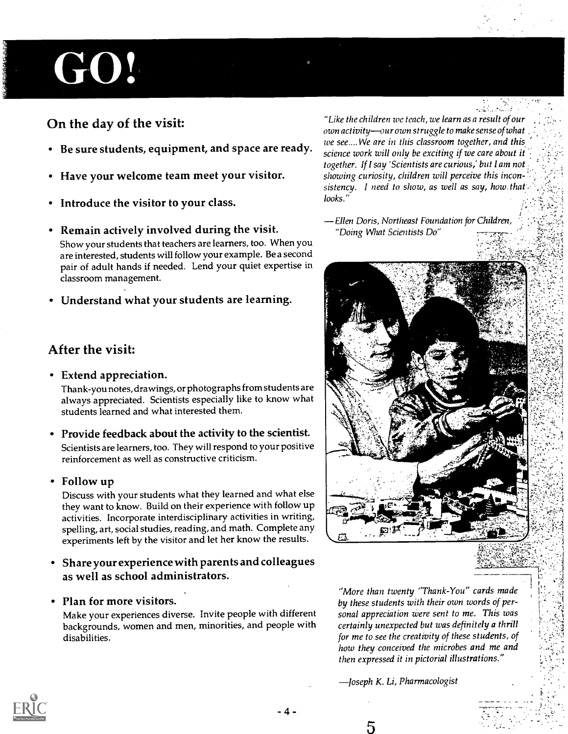# GO!

### On the day of the visit:

- Be sure students, equipment, and space are ready.
- Have your welcome team meet your visitor.
- Introduce the visitor to your class.
- Remain actively involved during the visit. Show your students that teachers are learners, too. When you are interested, students will follow your example. Be a second pair of adult hands if needed. Lend your quiet expertise in classroom management.
- Understand what your students are learning.

### After the visit:

Extend appreciation.

Thank-you notes, drawings, or photographs from students are always appreciated. Scientists especially like to know what students learned and what interested them.

- Provide feedback about the activity to the scientist. Scientists are learners, too. They will respond to your positive reinforcement as well as constructive criticism.
- Follow up

Discuss with your students what they learned and what else they want to know. Build on their experience with follow up activities. Incorporate interdisciplinary activities in writing, spelling, art, social studies, reading, and math. Complete any experiments left by the visitor and let her know the results.

- Share your experience with parents and colleagues as well as school administrators.
- Plan for more visitors.

Make your experiences diverse. Invite people with different backgrounds, women and men, minorities, and people with disabilities.

"Like the children we teach, we learn as a result of our own activity--our own struggle to make sense of what we see.... We are in this classroom together, and this science work will only be exciting if we care about it together. If I say 'Scientists are curious,' but I am not showing curiosity, children will perceive this incon= sistency. I need to show, as well as say, how that. looks."

Ellen Doris, Northeast Foundation for Children, "Doing What Scientists Do"



"More than twenty "Thank-You" cards made by these students with their own words of personal appreciation were sent to me. This was certainly unexpected but was definitely a thrill for me to see the creativity of these students, of how they conceived the microbes and me and then expressed it in pictorial illustrations."

-Joseph K. Li, Pharmacologist



5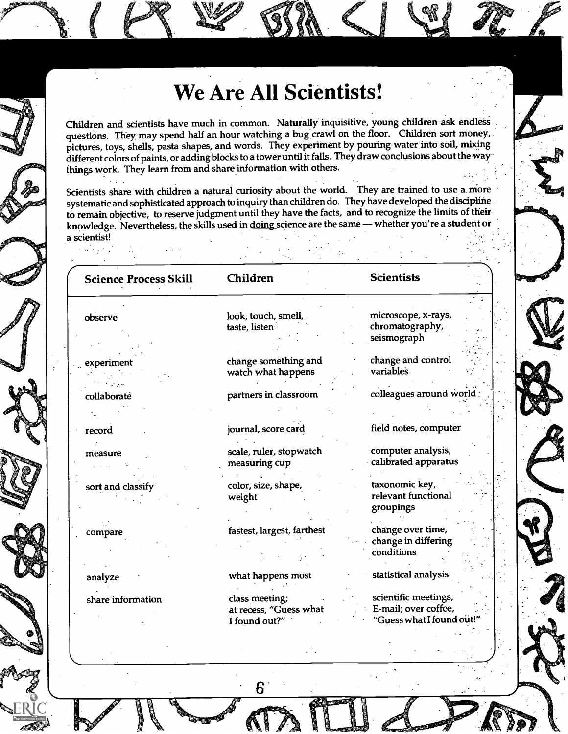### We Are All Scientists!

Children and scientists have much in common. Naturally inquisitive, young children ask endless questions. They may spend half an hour watching a bug crawl on the floor. Children sort money, pictures, toys, shells, pasta shapes, and words. They experiment by pouring water into soil, mixing different colors of paints, or adding blocks to a tower until it falls. They draw conclusions about the way things work. They learn from and share information with others.

Scientists share with children a natural curiosity about the world. They are trained to use a. more systematic and sophisticated approach to inquiry than children do. They have developed the discipline to remain objective, to reserve judgment until they have the facts, and to recognize the limits of their knowledge. Nevertheless, the skills used in doing science are the same - whether you're a student or a scientist! 

| <b>Science Process Skill</b> | Children                                 | <b>Scientists</b>                            |
|------------------------------|------------------------------------------|----------------------------------------------|
| observe                      | look, touch, smell,                      | microscope, x-rays,                          |
|                              | taste, listen                            | chromatography,                              |
|                              |                                          | seismograph                                  |
|                              |                                          |                                              |
| experiment                   | change something and                     | change and control                           |
|                              | watch what happens                       | variables                                    |
|                              |                                          |                                              |
| collaborate                  | partners in classroom                    | colleagues around world.                     |
|                              |                                          |                                              |
| record                       | journal, score card                      | field notes, computer                        |
| measure                      | scale, ruler, stopwatch                  | computer analysis,                           |
|                              | measuring cup                            | calibrated apparatus                         |
|                              |                                          |                                              |
| sort and classify            | color, size, shape,                      | taxonomic key,                               |
|                              | weight                                   | relevant functional                          |
|                              |                                          | groupings                                    |
|                              | fastest, largest, farthest               | change over time,                            |
| compare                      |                                          | change in differing                          |
|                              |                                          | conditions                                   |
|                              |                                          |                                              |
| analyze                      | what happens most                        | statistical analysis                         |
|                              |                                          |                                              |
| share information            | class meeting;<br>at recess, "Guess what | scientific meetings,<br>E-mail; over coffee, |
|                              | I found out?"                            | "Guess what I found out!"                    |
|                              |                                          |                                              |
|                              |                                          |                                              |
|                              |                                          |                                              |

6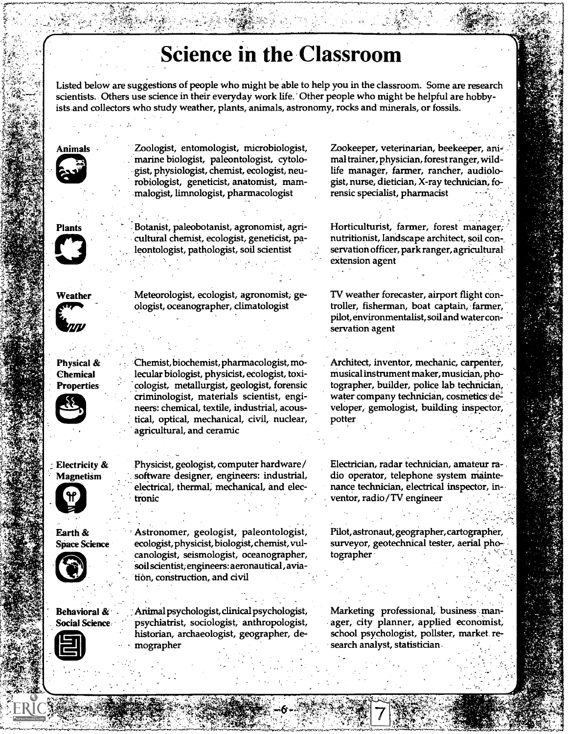### **Science in the Classroom**

Listed below are suggestions of people who might be able to help you in the classroom. Some are research scientists.. Others use science in their everyday work life. Other people who might be helpful are hobbyists and collectors who study weather, plants, animals, astronomy, rocks and minerals, or fossils.



'4.

3

Zoologist, entomologist, microbiologist, marine biologist, paleontologist, cytolo- -gist, physiologist, chemist, ecologist, neurobiologist, geneticist, anatomist, mammalogist, limnologist, pharmacologist

Plants

Botanist, paleobotanist, agronomist, agricultural chemist, ecologist, geneticist, paleontologist, pathologist, soil scientist

Weather Meteorologist, ecologist, agronomist, geologist, oceanographer, climatologist

> Chemist, biochemist, pharmacologist, molecular biologist, physicist, ecologist, toxicologist, metallurgist, geologist, forensic criminologist, materials scientist, engineers: chemical, textile, industrial, acoustical, optical, mechanical, civil, nuclear,

agricultural, and ceramic

tronic

Physical & Chemical **Properties** 



Electricity & Physicist, geologist, computer hardware/ Magnetism . software designer, engineers: industrial,





Earth & Astronomer, geologist, paleontologist, Space Science ecologist, physicist, biologist, chemist, vulcanologist, seismologist, oceanographer, 'soil scientist; engineers: aeronautical, aviation, construction, and civil

electrical, thermal; mechanical, and elec-



Behavioral & - Animal psychologist, clinical psychologist, Social Science psychiatrist, sociologist, anthropologist, historian, archaeologist, geographer, de- - mographer

Zookeeper, veterinarian, beekeeper, animal trainer, physician, forest ranger, wildlife manager, farmer, rancher, audiologist, nurse, dietician, X-ray technician, forensic specialist, pharmacist

Horticulturist, farmer, forest manager; nutritionist, landscape architect, soil conservation officer, park ranger, agricultural extension agent

TV weather forecaster, airport flight controller, fisherman, boat captain, farmer, pilot, environmentalist, soil and water conservation agent

Architect, inventor, mechanic, carpenter, musical instrument maker, musician, photographer, builder, police lab technician, water company technician, cosmetics developer, gemologist, building inspector, potter

Electrician, radar technician, amateur radio operator, telephone system maintenance technician, electrical inspector, in- . ventor, radio/TV engineer

Pilot, astronaut, geographer, cartographer, surveyor, geotechnical tester, aerial photographer

Marketing professional, business man= ager, city planner, applied economist; school psychologist, pollster, market research analyst, statistician.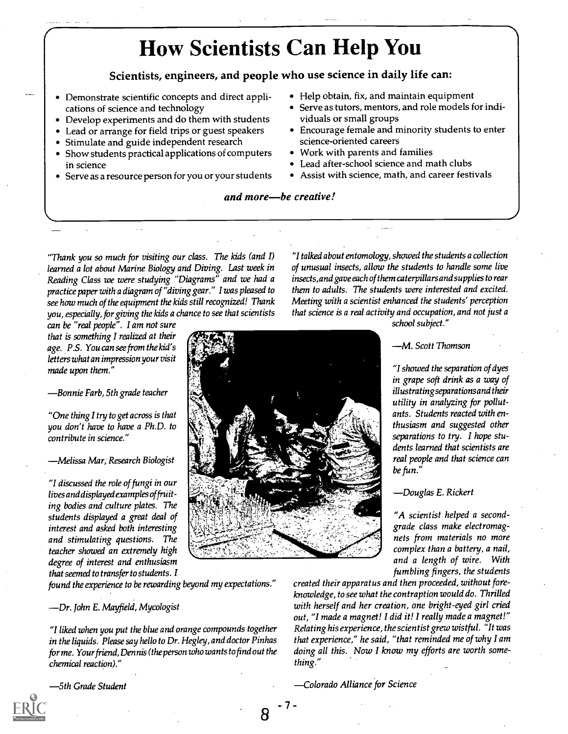### How Scientists Can Help You

Scientists, engineers, and people who use science in daily life can:

Demonstrate scientific concepts and direct applications of science and technology

Develop experiments and do them with students

- Lead or arrange for field trips or guest speakers
- Stimulate and guide independent research
- Show students practical applications of computers in science
- Serve as a resource person for you or your students
- Help obtain, fix, and maintain equipment
- Serve as tutors, mentors, and role models for individuals or small groups
- Encourage female and minority students to enter science-oriented careers
- Work with parents and families
- Lead after-school science and math clubs
- Assist with science, math, and career festivals

"I talked about entomology, showed the students a collection of unusual insects, allow the students to handle some live insects, and gave each of them caterpillars and supplies to rear them to adults. The students were interested and excited. Meeting with a scientist enhanced the students' perception

and more-be creative!

"Thank you so much for visiting our class. The kids (and I) learned a lot about Marine Biology and Diving. Last week in Reading Class we were studying "Diagrams" and we had a practice paper with a diagram of "diving gear." I was pleased to see how much of the equipment the kids still recognized! Thank you, especially, for giving the kids a chance to see that scientists

can be "real people". I am not sure that is something I realized at their age. P.S. You can see from the kid's letters what an impression your visit made upon them."

Bonnie Farb, 5th grade teacher

"One thing I try to get across is that you don't have to have a Ph.D. to contribute in science."

Melissa Mar; Research Biologist

"I discussed the role of fungi in our lives and displayed examples of fruiting bodies and culture plates. The students displayed a great deal of interest and asked both interesting and stimulating questions. The teacher showed an extremely high degree of interest and enthusiasm that seemed to transfer to students. I

found the experience to be rewarding beyond my expectations."

Dr. John E. Mayfield, Mycologist

"I liked when you put the blue and orange compounds together in the liquids. Please say hello to Dr. Hegley, and doctor Pinhas for me. Your friend, Dennis (the person who wants to find out the chemical reaction)."

5th Grade Student

- 7 -

that science is a real activity and occupation, and not just a school subject."

#### M. Scott Thomson

"I showed the separation of dyes in grape soft drink as a way of illustratingseparations and their utility in analyzing for pollutants. Students reacted with enthusiasm and suggested other separations to try. I hope students learned that scientists are real people and that science can be fun."

Douglas E. Rickert

"A scientist helped a secondgrade class make electromagnets from materials no more complex than a battery, a nail, and a length of wire. With fumbling fingers, the students

created their apparatus and then proceeded, without foreknowledge, to see what the contraption would do. Thrilled with herself and her creation, one bright-eyed girl cried out, "I made a magnet! I did it! I really made a magnet!" Relating his experience, the scientist grew wistful. "It was that experience," he said, "that reminded me of why I am doing all this. Now I know my efforts are worth something."

Colorado Alliance for Science